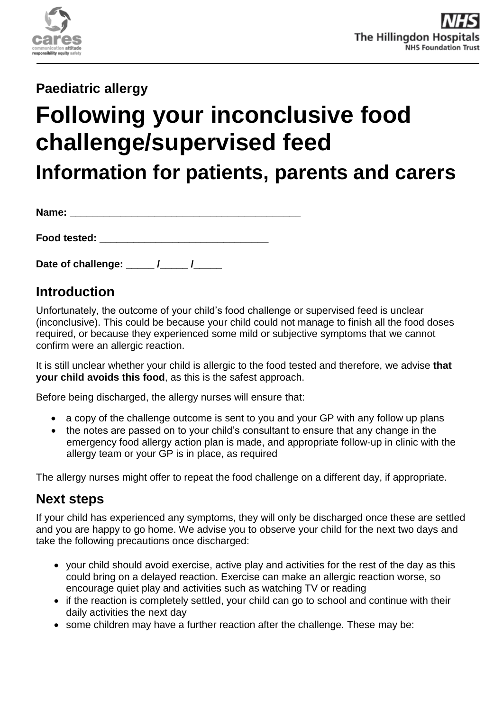

# **Paediatric allergy**

# **Following your inconclusive food challenge/supervised feed**

**Information for patients, parents and carers**

**Name:**  $\blacksquare$ 

**Food tested: \_\_\_\_\_\_\_\_\_\_\_\_\_\_\_\_\_\_\_\_\_\_\_\_\_\_\_\_\_\_** 

**Date of challenge: \_\_\_\_\_ /\_\_\_\_\_ /\_\_\_\_\_** 

## **Introduction**

Unfortunately, the outcome of your child's food challenge or supervised feed is unclear (inconclusive). This could be because your child could not manage to finish all the food doses required, or because they experienced some mild or subjective symptoms that we cannot confirm were an allergic reaction.

It is still unclear whether your child is allergic to the food tested and therefore, we advise **that your child avoids this food**, as this is the safest approach.

Before being discharged, the allergy nurses will ensure that:

- a copy of the challenge outcome is sent to you and your GP with any follow up plans
- the notes are passed on to your child's consultant to ensure that any change in the emergency food allergy action plan is made, and appropriate follow-up in clinic with the allergy team or your GP is in place, as required

The allergy nurses might offer to repeat the food challenge on a different day, if appropriate.

# **Next steps**

If your child has experienced any symptoms, they will only be discharged once these are settled and you are happy to go home. We advise you to observe your child for the next two days and take the following precautions once discharged:

- your child should avoid exercise, active play and activities for the rest of the day as this could bring on a delayed reaction. Exercise can make an allergic reaction worse, so encourage quiet play and activities such as watching TV or reading
- if the reaction is completely settled, your child can go to school and continue with their daily activities the next day
- some children may have a further reaction after the challenge. These may be: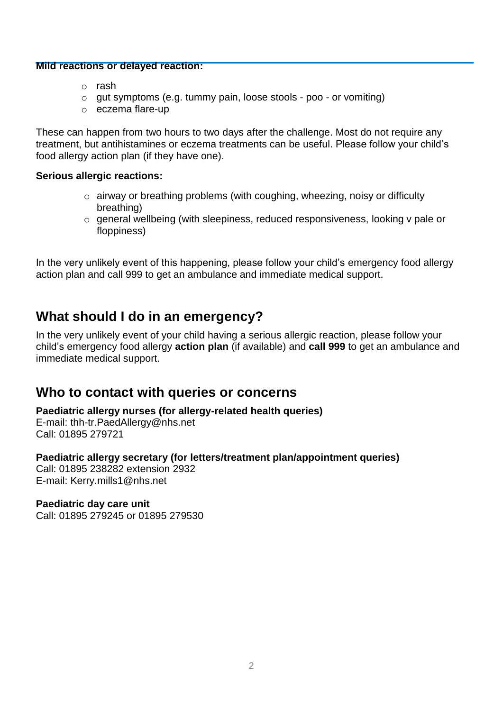#### **Mild reactions or delayed reaction:**

- o rash
- o gut symptoms (e.g. tummy pain, loose stools poo or vomiting)
- o eczema flare-up

These can happen from two hours to two days after the challenge. Most do not require any treatment, but antihistamines or eczema treatments can be useful. Please follow your child's food allergy action plan (if they have one).

#### **Serious allergic reactions:**

- $\circ$  airway or breathing problems (with coughing, wheezing, noisy or difficulty breathing)
- o general wellbeing (with sleepiness, reduced responsiveness, looking v pale or floppiness)

In the very unlikely event of this happening, please follow your child's emergency food allergy action plan and call 999 to get an ambulance and immediate medical support.

## **What should I do in an emergency?**

In the very unlikely event of your child having a serious allergic reaction, please follow your child's emergency food allergy **action plan** (if available) and **call 999** to get an ambulance and immediate medical support.

## **Who to contact with queries or concerns**

**Paediatric allergy nurses (for allergy-related health queries)**

E-mail: [thh-tr.PaedAllergy@nhs.net](mailto:thh-tr.PaedAllergy@nhs.net) Call: 01895 279721

## **Paediatric allergy secretary (for letters/treatment plan/appointment queries)**

Call: 01895 238282 extension 2932 E-mail: Kerry.mills1@nhs.net

## **Paediatric day care unit**

Call: 01895 279245 or 01895 279530